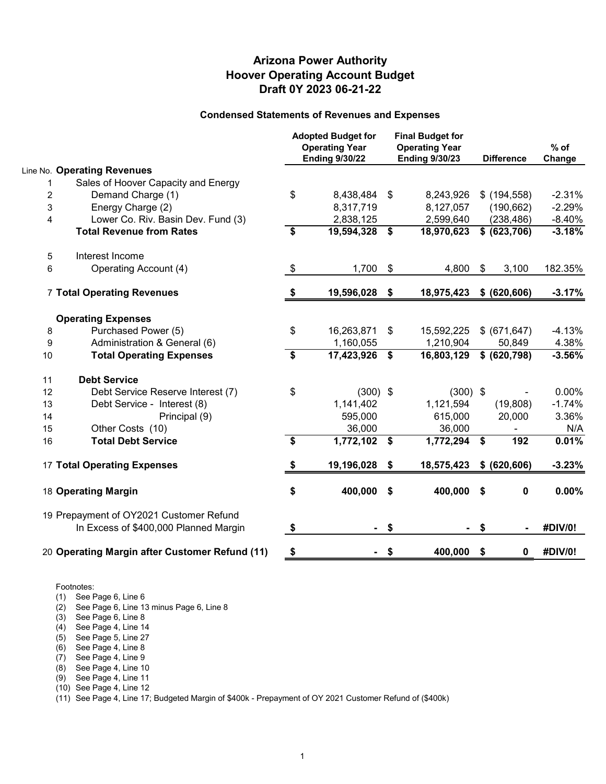#### **Draft 0Y 2023 06-21-22 Hoover Operating Account Budget Arizona Power Authority**

#### **Condensed Statements of Revenues and Expenses**

|                |                                                                                  |                   | <b>Adopted Budget for</b><br><b>Operating Year</b><br><b>Ending 9/30/22</b> | <b>Final Budget for</b><br><b>Operating Year</b><br><b>Ending 9/30/23</b> |            |    | <b>Difference</b> | $%$ of<br>Change |
|----------------|----------------------------------------------------------------------------------|-------------------|-----------------------------------------------------------------------------|---------------------------------------------------------------------------|------------|----|-------------------|------------------|
|                | Line No. Operating Revenues                                                      |                   |                                                                             |                                                                           |            |    |                   |                  |
| 1              | Sales of Hoover Capacity and Energy                                              |                   |                                                                             |                                                                           |            |    |                   |                  |
| $\overline{c}$ | Demand Charge (1)                                                                | \$                | 8,438,484                                                                   | \$                                                                        | 8,243,926  |    | $$$ (194,558)     | $-2.31%$         |
| 3              | Energy Charge (2)                                                                |                   | 8,317,719                                                                   |                                                                           | 8,127,057  |    | (190, 662)        | $-2.29%$         |
| 4              | Lower Co. Riv. Basin Dev. Fund (3)                                               |                   | 2,838,125                                                                   |                                                                           | 2,599,640  |    | (238, 486)        | $-8.40%$         |
|                | <b>Total Revenue from Rates</b>                                                  | \$                | 19,594,328                                                                  | \$                                                                        | 18,970,623 |    | \$ (623, 706)     | $-3.18%$         |
| 5              | Interest Income                                                                  |                   |                                                                             |                                                                           |            |    |                   |                  |
| 6              | Operating Account (4)                                                            | $\boldsymbol{\$}$ | 1,700                                                                       | $\boldsymbol{\mathsf{S}}$                                                 | 4,800      | \$ | 3,100             | 182.35%          |
|                | 7 Total Operating Revenues                                                       | \$                | 19,596,028                                                                  | \$                                                                        | 18,975,423 |    | \$ (620, 606)     | $-3.17%$         |
|                | <b>Operating Expenses</b>                                                        |                   |                                                                             |                                                                           |            |    |                   |                  |
| 8              | Purchased Power (5)                                                              | \$                | 16,263,871                                                                  | \$                                                                        | 15,592,225 |    | \$ (671, 647)     | $-4.13%$         |
| 9              | Administration & General (6)                                                     |                   | 1,160,055                                                                   |                                                                           | 1,210,904  |    | 50,849            | 4.38%            |
| 10             | <b>Total Operating Expenses</b>                                                  | \$                | 17,423,926                                                                  | \$                                                                        | 16,803,129 |    | \$ (620, 798)     | $-3.56%$         |
| 11             | <b>Debt Service</b>                                                              |                   |                                                                             |                                                                           |            |    |                   |                  |
| 12             | Debt Service Reserve Interest (7)                                                | \$                | $(300)$ \$                                                                  |                                                                           | $(300)$ \$ |    |                   | 0.00%            |
| 13             | Debt Service - Interest (8)                                                      |                   | 1,141,402                                                                   |                                                                           | 1,121,594  |    | (19, 808)         | $-1.74%$         |
| 14             | Principal (9)                                                                    |                   | 595,000                                                                     |                                                                           | 615,000    |    | 20,000            | 3.36%            |
| 15             | Other Costs (10)                                                                 |                   | 36,000                                                                      |                                                                           | 36,000     |    |                   | N/A              |
| 16             | <b>Total Debt Service</b>                                                        | \$                | 1,772,102 \$                                                                |                                                                           | 1,772,294  | \$ | 192               | 0.01%            |
|                | <b>17 Total Operating Expenses</b>                                               | \$                | 19,196,028                                                                  | \$                                                                        | 18,575,423 |    | \$ (620, 606)     | $-3.23%$         |
|                | 18 Operating Margin                                                              | \$                | 400,000                                                                     | \$                                                                        | 400,000    | \$ | 0                 | 0.00%            |
|                | 19 Prepayment of OY2021 Customer Refund<br>In Excess of \$400,000 Planned Margin | \$                |                                                                             | \$                                                                        |            | \$ |                   | #DIV/0!          |
|                | 20 Operating Margin after Customer Refund (11)                                   | \$                |                                                                             | \$                                                                        | 400,000    | \$ | 0                 | #DIV/0!          |
|                |                                                                                  |                   |                                                                             |                                                                           |            |    |                   |                  |

Footnotes:

(1) See Page 6, Line 6

- (2) See Page 6, Line 13 minus Page 6, Line 8
- (3) See Page 6, Line 8
- (4) See Page 4, Line 14
- (5) See Page 5, Line 27
- (6) See Page 4, Line 8
- (7) See Page 4, Line 9
- (8) See Page 4, Line 10
- (9) See Page 4, Line 11
- (10) See Page 4, Line 12

(11) See Page 4, Line 17; Budgeted Margin of \$400k - Prepayment of OY 2021 Customer Refund of (\$400k)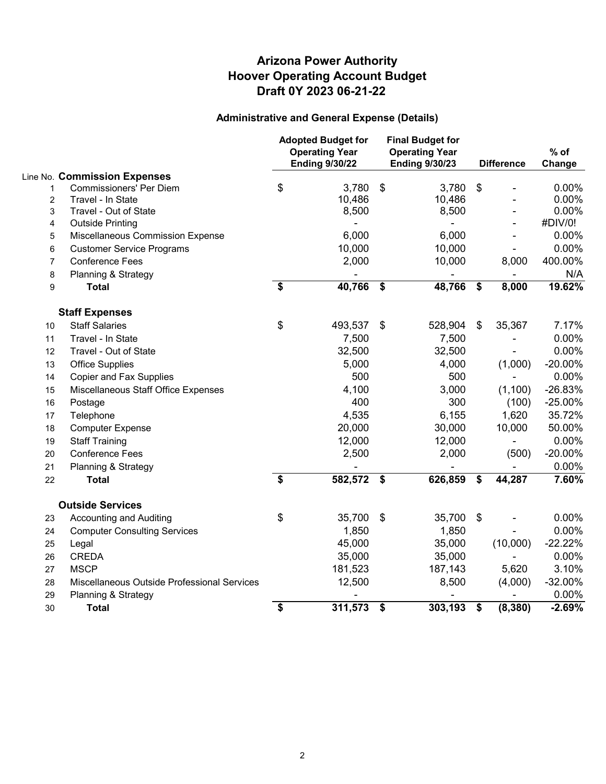## **Administrative and General Expense (Details)**

|                         |                                             |    | <b>Adopted Budget for</b><br><b>Operating Year</b><br><b>Ending 9/30/22</b> | <b>Final Budget for</b><br><b>Operating Year</b><br><b>Ending 9/30/23</b> |         |                           | <b>Difference</b> | $%$ of<br>Change |
|-------------------------|---------------------------------------------|----|-----------------------------------------------------------------------------|---------------------------------------------------------------------------|---------|---------------------------|-------------------|------------------|
|                         | Line No. Commission Expenses                |    |                                                                             |                                                                           |         |                           |                   |                  |
| 1                       | <b>Commissioners' Per Diem</b>              | \$ | 3,780                                                                       | $\sqrt[6]{\frac{1}{2}}$                                                   | 3,780   | \$                        |                   | 0.00%            |
| $\overline{c}$          | Travel - In State                           |    | 10,486                                                                      |                                                                           | 10,486  |                           |                   | 0.00%            |
| 3                       | Travel - Out of State                       |    | 8,500                                                                       |                                                                           | 8,500   |                           |                   | 0.00%            |
| $\overline{\mathbf{4}}$ | <b>Outside Printing</b>                     |    |                                                                             |                                                                           |         |                           |                   | #DIV/0!          |
| 5                       | Miscellaneous Commission Expense            |    | 6,000                                                                       |                                                                           | 6,000   |                           |                   | 0.00%            |
| 6                       | <b>Customer Service Programs</b>            |    | 10,000                                                                      |                                                                           | 10,000  |                           |                   | 0.00%            |
| $\overline{7}$          | <b>Conference Fees</b>                      |    | 2,000                                                                       |                                                                           | 10,000  |                           | 8,000             | 400.00%          |
| 8                       | Planning & Strategy                         |    |                                                                             |                                                                           |         |                           |                   | N/A              |
| 9                       | <b>Total</b>                                | \$ | 40,766                                                                      | \$                                                                        | 48,766  | \$                        | 8,000             | 19.62%           |
|                         | <b>Staff Expenses</b>                       |    |                                                                             |                                                                           |         |                           |                   |                  |
| 10                      | <b>Staff Salaries</b>                       | \$ | 493,537                                                                     | \$                                                                        | 528,904 | \$                        | 35,367            | 7.17%            |
| 11                      | Travel - In State                           |    | 7,500                                                                       |                                                                           | 7,500   |                           |                   | 0.00%            |
| 12                      | Travel - Out of State                       |    | 32,500                                                                      |                                                                           | 32,500  |                           |                   | 0.00%            |
| 13                      | <b>Office Supplies</b>                      |    | 5,000                                                                       |                                                                           | 4,000   |                           | (1,000)           | $-20.00\%$       |
| 14                      | <b>Copier and Fax Supplies</b>              |    | 500                                                                         |                                                                           | 500     |                           |                   | 0.00%            |
| 15                      | Miscellaneous Staff Office Expenses         |    | 4,100                                                                       |                                                                           | 3,000   |                           | (1,100)           | $-26.83%$        |
| 16                      | Postage                                     |    | 400                                                                         |                                                                           | 300     |                           | (100)             | $-25.00%$        |
| 17                      | Telephone                                   |    | 4,535                                                                       |                                                                           | 6,155   |                           | 1,620             | 35.72%           |
| 18                      | <b>Computer Expense</b>                     |    | 20,000                                                                      |                                                                           | 30,000  |                           | 10,000            | 50.00%           |
| 19                      | <b>Staff Training</b>                       |    | 12,000                                                                      |                                                                           | 12,000  |                           |                   | 0.00%            |
| 20                      | <b>Conference Fees</b>                      |    | 2,500                                                                       |                                                                           | 2,000   |                           | (500)             | $-20.00%$        |
| 21                      | Planning & Strategy                         |    |                                                                             |                                                                           |         |                           |                   | 0.00%            |
| 22                      | <b>Total</b>                                | \$ | 582,572                                                                     | \$                                                                        | 626,859 | \$                        | 44,287            | 7.60%            |
|                         | <b>Outside Services</b>                     |    |                                                                             |                                                                           |         |                           |                   |                  |
| 23                      | <b>Accounting and Auditing</b>              | \$ | 35,700                                                                      | \$                                                                        | 35,700  | $\boldsymbol{\mathsf{S}}$ |                   | 0.00%            |
| 24                      | <b>Computer Consulting Services</b>         |    | 1,850                                                                       |                                                                           | 1,850   |                           |                   | 0.00%            |
| 25                      | Legal                                       |    | 45,000                                                                      |                                                                           | 35,000  |                           | (10,000)          | $-22.22%$        |
| 26                      | <b>CREDA</b>                                |    | 35,000                                                                      |                                                                           | 35,000  |                           |                   | 0.00%            |
| 27                      | <b>MSCP</b>                                 |    | 181,523                                                                     |                                                                           | 187,143 |                           | 5,620             | 3.10%            |
| 28                      | Miscellaneous Outside Professional Services |    | 12,500                                                                      |                                                                           | 8,500   |                           | (4,000)           | $-32.00%$        |
| 29                      | Planning & Strategy                         |    |                                                                             |                                                                           |         |                           |                   | 0.00%            |
| 30                      | <b>Total</b>                                | \$ | 311,573                                                                     | \$                                                                        | 303,193 | \$                        | (8, 380)          | $-2.69%$         |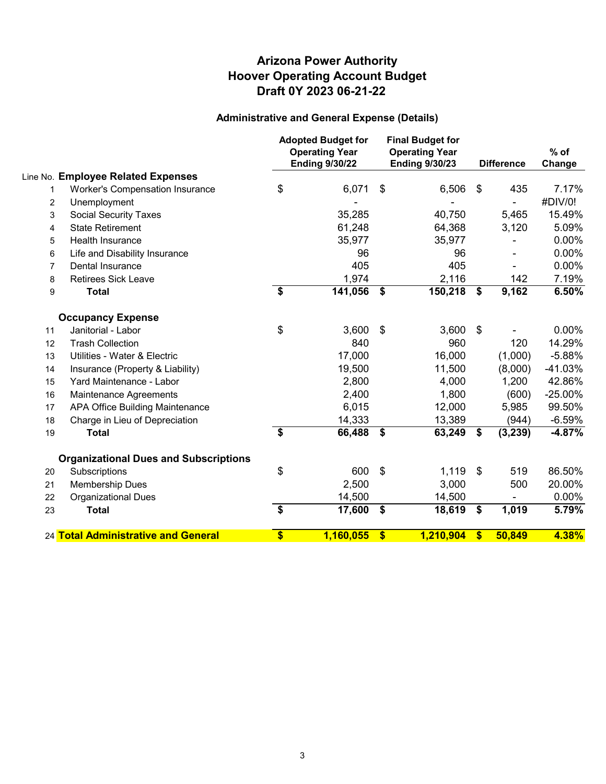## **Administrative and General Expense (Details)**

|                |                                              |    | <b>Adopted Budget for</b><br><b>Operating Year</b><br><b>Ending 9/30/22</b> |                           | <b>Final Budget for</b><br><b>Operating Year</b><br><b>Ending 9/30/23</b> | <b>Difference</b> |          | $%$ of<br>Change |
|----------------|----------------------------------------------|----|-----------------------------------------------------------------------------|---------------------------|---------------------------------------------------------------------------|-------------------|----------|------------------|
|                | Line No. Employee Related Expenses           |    |                                                                             |                           |                                                                           |                   |          |                  |
| 1              | Worker's Compensation Insurance              | \$ | 6,071                                                                       | \$                        | 6,506                                                                     | \$                | 435      | 7.17%            |
| 2              | Unemployment                                 |    |                                                                             |                           |                                                                           |                   |          | #DIV/0!          |
| 3              | <b>Social Security Taxes</b>                 |    | 35,285                                                                      |                           | 40,750                                                                    |                   | 5,465    | 15.49%           |
| 4              | <b>State Retirement</b>                      |    | 61,248                                                                      |                           | 64,368                                                                    |                   | 3,120    | 5.09%            |
| 5              | <b>Health Insurance</b>                      |    | 35,977                                                                      |                           | 35,977                                                                    |                   |          | 0.00%            |
| 6              | Life and Disability Insurance                |    | 96                                                                          |                           | 96                                                                        |                   |          | 0.00%            |
| $\overline{7}$ | Dental Insurance                             |    | 405                                                                         |                           | 405                                                                       |                   |          | 0.00%            |
| 8              | <b>Retirees Sick Leave</b>                   |    | 1,974                                                                       |                           | 2,116                                                                     |                   | 142      | 7.19%            |
| 9              | <b>Total</b>                                 | \$ | 141,056                                                                     | $\sqrt{3}$                | 150,218                                                                   | \$                | 9,162    | 6.50%            |
|                | <b>Occupancy Expense</b>                     |    |                                                                             |                           |                                                                           |                   |          |                  |
| 11             | Janitorial - Labor                           | \$ | 3,600                                                                       | \$                        | 3,600                                                                     | \$                |          | 0.00%            |
| 12             | <b>Trash Collection</b>                      |    | 840                                                                         |                           | 960                                                                       |                   | 120      | 14.29%           |
| 13             | Utilities - Water & Electric                 |    | 17,000                                                                      |                           | 16,000                                                                    |                   | (1,000)  | $-5.88%$         |
| 14             | Insurance (Property & Liability)             |    | 19,500                                                                      |                           | 11,500                                                                    |                   | (8,000)  | $-41.03%$        |
| 15             | Yard Maintenance - Labor                     |    | 2,800                                                                       |                           | 4,000                                                                     |                   | 1,200    | 42.86%           |
| 16             | Maintenance Agreements                       |    | 2,400                                                                       |                           | 1,800                                                                     |                   | (600)    | $-25.00\%$       |
| 17             | APA Office Building Maintenance              |    | 6,015                                                                       |                           | 12,000                                                                    |                   | 5,985    | 99.50%           |
| 18             | Charge in Lieu of Depreciation               |    | 14,333                                                                      |                           | 13,389                                                                    |                   | (944)    | $-6.59%$         |
| 19             | <b>Total</b>                                 | \$ | 66,488                                                                      | $\sqrt{3}$                | 63,249                                                                    | \$                | (3, 239) | $-4.87%$         |
|                | <b>Organizational Dues and Subscriptions</b> |    |                                                                             |                           |                                                                           |                   |          |                  |
| 20             | Subscriptions                                | \$ | 600                                                                         | $\boldsymbol{\mathsf{s}}$ | 1,119                                                                     | \$                | 519      | 86.50%           |
| 21             | Membership Dues                              |    | 2,500                                                                       |                           | 3,000                                                                     |                   | 500      | 20.00%           |
| 22             | <b>Organizational Dues</b>                   |    | 14,500                                                                      |                           | 14,500                                                                    |                   |          | $0.00\%$         |
| 23             | <b>Total</b>                                 | \$ | 17,600                                                                      | \$                        | 18,619                                                                    | \$                | 1,019    | 5.79%            |
|                | 24 Total Administrative and General          | \$ | 1,160,055                                                                   | \$                        | 1,210,904                                                                 | \$                | 50,849   | 4.38%            |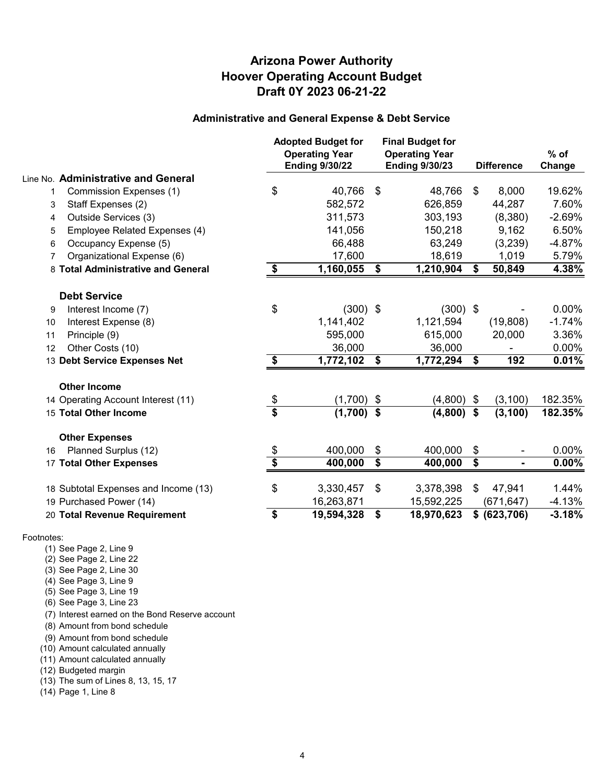## **Arizona Power Authority Hoover Operating Account Budget Draft 0Y 2023 06-21-22**

#### **Administrative and General Expense & Debt Service**

|              |                                      |                                      | <b>Adopted Budget for</b><br><b>Operating Year</b><br><b>Ending 9/30/22</b> | <b>Final Budget for</b><br><b>Operating Year</b><br><b>Ending 9/30/23</b> |              |                           | <b>Difference</b> | $%$ of<br>Change |
|--------------|--------------------------------------|--------------------------------------|-----------------------------------------------------------------------------|---------------------------------------------------------------------------|--------------|---------------------------|-------------------|------------------|
|              | Line No. Administrative and General  |                                      |                                                                             |                                                                           |              |                           |                   |                  |
| $\mathbf{1}$ | Commission Expenses (1)              | \$                                   | 40,766                                                                      | \$                                                                        | 48,766       | \$                        | 8,000             | 19.62%           |
| 3            | Staff Expenses (2)                   |                                      | 582,572                                                                     |                                                                           | 626,859      |                           | 44,287            | 7.60%            |
| 4            | Outside Services (3)                 |                                      | 311,573                                                                     |                                                                           | 303,193      |                           | (8,380)           | $-2.69%$         |
| 5            | Employee Related Expenses (4)        |                                      | 141,056                                                                     |                                                                           | 150,218      |                           | 9,162             | 6.50%            |
| 6            | Occupancy Expense (5)                |                                      | 66,488                                                                      |                                                                           | 63,249       |                           | (3,239)           | $-4.87%$         |
| 7            | Organizational Expense (6)           |                                      | 17,600                                                                      |                                                                           | 18,619       |                           | 1,019             | 5.79%            |
|              | 8 Total Administrative and General   | \$                                   | 1,160,055                                                                   | \$                                                                        | 1,210,904    | \$                        | 50,849            | 4.38%            |
|              | <b>Debt Service</b>                  |                                      |                                                                             |                                                                           |              |                           |                   |                  |
| 9            | Interest Income (7)                  | \$                                   | $(300)$ \$                                                                  |                                                                           | $(300)$ \$   |                           |                   | $0.00\%$         |
| 10           | Interest Expense (8)                 |                                      | 1,141,402                                                                   |                                                                           | 1,121,594    |                           | (19,808)          | $-1.74%$         |
| 11           | Principle (9)                        |                                      | 595,000                                                                     |                                                                           | 615,000      |                           | 20,000            | 3.36%            |
| 12           | Other Costs (10)                     |                                      | 36,000                                                                      |                                                                           | 36,000       |                           |                   | 0.00%            |
|              | 13 Debt Service Expenses Net         | \$                                   | 1,772,102                                                                   | \$                                                                        | 1,772,294    | \$                        | 192               | 0.01%            |
|              | <b>Other Income</b>                  |                                      |                                                                             |                                                                           |              |                           |                   |                  |
|              | 14 Operating Account Interest (11)   | \$                                   | (1,700)                                                                     | \$                                                                        | $(4,800)$ \$ |                           | (3, 100)          | 182.35%          |
|              | 15 Total Other Income                | $\overline{\boldsymbol{\mathsf{s}}}$ | (1,700)                                                                     | \$                                                                        | (4,800)      | $\boldsymbol{\hat{\ast}}$ | (3, 100)          | 182.35%          |
|              | <b>Other Expenses</b>                |                                      |                                                                             |                                                                           |              |                           |                   |                  |
| 16           | Planned Surplus (12)                 |                                      | 400,000                                                                     | \$                                                                        | 400,000      | \$                        |                   | $0.00\%$         |
|              | 17 Total Other Expenses              | \$                                   | 400,000                                                                     | \$                                                                        | 400,000      | \$                        | $\blacksquare$    | $0.00\%$         |
|              | 18 Subtotal Expenses and Income (13) | \$                                   | 3,330,457                                                                   | \$                                                                        | 3,378,398    | \$                        | 47,941            | 1.44%            |
|              | 19 Purchased Power (14)              |                                      | 16,263,871                                                                  |                                                                           | 15,592,225   |                           | (671, 647)        | $-4.13%$         |
|              | 20 Total Revenue Requirement         | \$                                   | 19,594,328                                                                  | \$                                                                        | 18,970,623   |                           | \$ (623, 706)     | $-3.18%$         |

#### Footnotes:

(1) See Page 2, Line 9

(2) See Page 2, Line 22

(3) See Page 2, Line 30

(4) See Page 3, Line 9

- (5) See Page 3, Line 19
- (6) See Page 3, Line 23

(7) Interest earned on the Bond Reserve account

(8) Amount from bond schedule

(9) Amount from bond schedule

(10) Amount calculated annually

(11) Amount calculated annually

(12) Budgeted margin

(13) The sum of Lines 8, 13, 15, 17

(14) Page 1, Line 8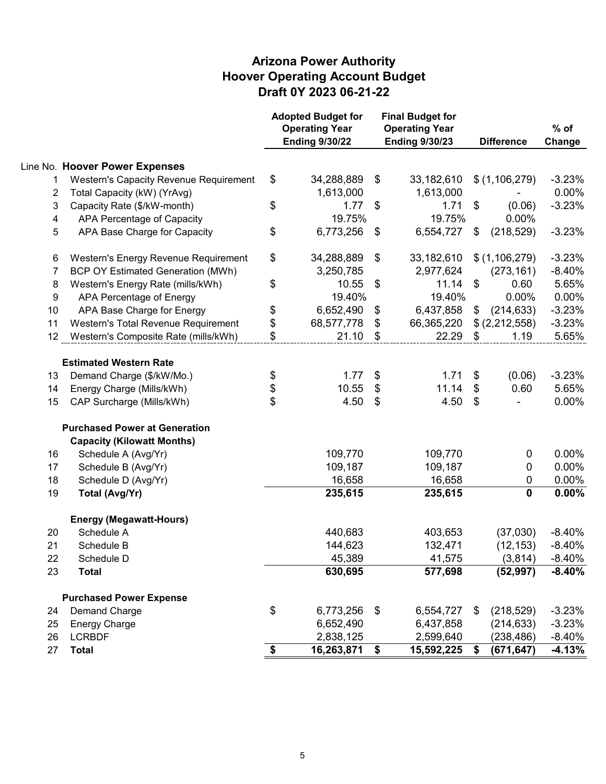|                |                                               |           | <b>Adopted Budget for</b><br><b>Operating Year</b><br><b>Ending 9/30/22</b> | <b>Final Budget for</b><br><b>Operating Year</b><br><b>Ending 9/30/23</b> |            |                              | <b>Difference</b> | $%$ of<br>Change |
|----------------|-----------------------------------------------|-----------|-----------------------------------------------------------------------------|---------------------------------------------------------------------------|------------|------------------------------|-------------------|------------------|
|                | Line No. Hoover Power Expenses                |           |                                                                             |                                                                           |            |                              |                   |                  |
| 1              | <b>Western's Capacity Revenue Requirement</b> | \$        | 34,288,889                                                                  | \$                                                                        | 33,182,610 |                              | \$(1,106,279)     | $-3.23%$         |
| $\overline{c}$ | Total Capacity (kW) (YrAvg)                   |           | 1,613,000                                                                   |                                                                           | 1,613,000  |                              |                   | 0.00%            |
| 3              | Capacity Rate (\$/kW-month)                   | \$        | 1.77                                                                        | \$                                                                        | 1.71       | \$                           | (0.06)            | $-3.23%$         |
| 4              | APA Percentage of Capacity                    |           | 19.75%                                                                      |                                                                           | 19.75%     |                              | 0.00%             |                  |
| 5              | APA Base Charge for Capacity                  | \$        | 6,773,256                                                                   | \$                                                                        | 6,554,727  | \$                           | (218, 529)        | $-3.23%$         |
| 6              | Western's Energy Revenue Requirement          | \$        | 34,288,889                                                                  | \$                                                                        | 33,182,610 |                              | \$(1,106,279)     | $-3.23%$         |
| 7              | <b>BCP OY Estimated Generation (MWh)</b>      |           | 3,250,785                                                                   |                                                                           | 2,977,624  |                              | (273, 161)        | $-8.40%$         |
| 8              | Western's Energy Rate (mills/kWh)             | \$        | 10.55                                                                       | \$                                                                        | 11.14      | \$                           | 0.60              | 5.65%            |
| 9              | APA Percentage of Energy                      |           | 19.40%                                                                      |                                                                           | 19.40%     |                              | 0.00%             | 0.00%            |
| 10             | APA Base Charge for Energy                    | \$        | 6,652,490                                                                   | \$                                                                        | 6,437,858  | \$                           | (214, 633)        | $-3.23%$         |
| 11             | Western's Total Revenue Requirement           | \$        | 68,577,778                                                                  | \$                                                                        | 66,365,220 |                              | \$(2,212,558)     | $-3.23%$         |
| 12             | Western's Composite Rate (mills/kWh)          | \$        | 21.10                                                                       | \$                                                                        | 22.29      | $\boldsymbol{\hat{\varphi}}$ | 1.19              | 5.65%            |
|                | <b>Estimated Western Rate</b>                 |           |                                                                             |                                                                           |            |                              |                   |                  |
| 13             | Demand Charge (\$/kW/Mo.)                     | \$        | 1.77                                                                        | \$                                                                        | 1.71       | \$                           | (0.06)            | $-3.23%$         |
| 14             | Energy Charge (Mills/kWh)                     | \$        | 10.55                                                                       | \$                                                                        | 11.14      | \$                           | 0.60              | 5.65%            |
| 15             | CAP Surcharge (Mills/kWh)                     | \$        | 4.50                                                                        | \$                                                                        | 4.50       | \$                           |                   | 0.00%            |
|                | <b>Purchased Power at Generation</b>          |           |                                                                             |                                                                           |            |                              |                   |                  |
|                | <b>Capacity (Kilowatt Months)</b>             |           |                                                                             |                                                                           |            |                              |                   |                  |
| 16             | Schedule A (Avg/Yr)                           |           | 109,770                                                                     |                                                                           | 109,770    |                              | 0                 | 0.00%            |
| 17             | Schedule B (Avg/Yr)                           |           | 109,187                                                                     |                                                                           | 109,187    |                              | 0                 | 0.00%            |
| 18             | Schedule D (Avg/Yr)                           |           | 16,658                                                                      |                                                                           | 16,658     |                              | 0                 | 0.00%            |
| 19             | <b>Total (Avg/Yr)</b>                         |           | 235,615                                                                     |                                                                           | 235,615    |                              | $\mathbf 0$       | 0.00%            |
|                | <b>Energy (Megawatt-Hours)</b>                |           |                                                                             |                                                                           |            |                              |                   |                  |
| 20             | Schedule A                                    |           | 440,683                                                                     |                                                                           | 403,653    |                              | (37,030)          | $-8.40%$         |
| 21             | Schedule B                                    |           | 144,623                                                                     |                                                                           | 132,471    |                              | (12, 153)         | $-8.40%$         |
| 22             | Schedule D                                    |           | 45,389                                                                      |                                                                           | 41,575     |                              | (3,814)           | $-8.40%$         |
| 23             | <b>Total</b>                                  |           | 630,695                                                                     |                                                                           | 577,698    |                              | (52, 997)         | $-8.40%$         |
|                | <b>Purchased Power Expense</b>                |           |                                                                             |                                                                           |            |                              |                   |                  |
| 24             | Demand Charge                                 | \$        | 6,773,256                                                                   | $\boldsymbol{\mathsf{\$}}$                                                | 6,554,727  | \$                           | (218, 529)        | $-3.23%$         |
| 25             | <b>Energy Charge</b>                          |           | 6,652,490                                                                   |                                                                           | 6,437,858  |                              | (214, 633)        | $-3.23%$         |
| 26             | <b>LCRBDF</b>                                 |           | 2,838,125                                                                   |                                                                           | 2,599,640  |                              | (238, 486)        | $-8.40%$         |
| 27             | <b>Total</b>                                  | $\bullet$ | 16,263,871                                                                  | \$                                                                        | 15,592,225 | \$                           | (671, 647)        | $-4.13%$         |